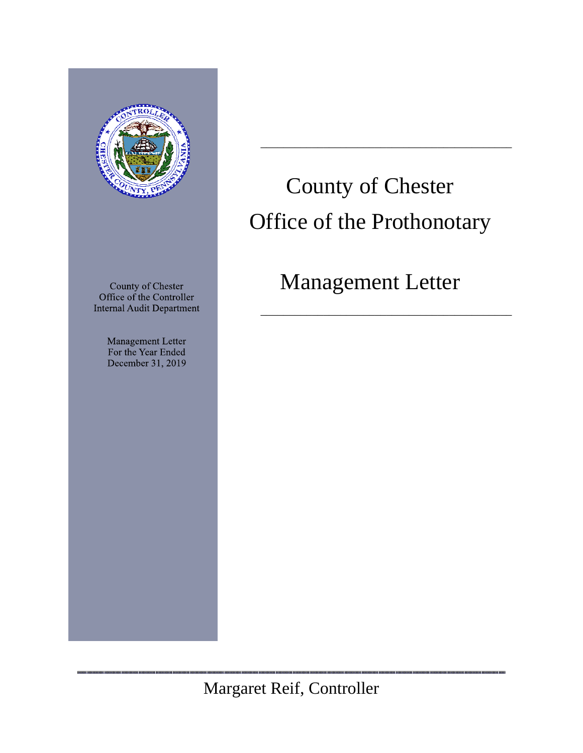

County of Chester Office of the Controller **Internal Audit Department** 

> Management Letter For the Year Ended December 31, 2019

# County of Chester Office of the Prothonotary

 $\overline{\phantom{a}}$  ,  $\overline{\phantom{a}}$  ,  $\overline{\phantom{a}}$  ,  $\overline{\phantom{a}}$  ,  $\overline{\phantom{a}}$  ,  $\overline{\phantom{a}}$  ,  $\overline{\phantom{a}}$  ,  $\overline{\phantom{a}}$  ,  $\overline{\phantom{a}}$  ,  $\overline{\phantom{a}}$  ,  $\overline{\phantom{a}}$  ,  $\overline{\phantom{a}}$  ,  $\overline{\phantom{a}}$  ,  $\overline{\phantom{a}}$  ,  $\overline{\phantom{a}}$  ,  $\overline{\phantom{a}}$ 

# Management Letter

 $\overline{\phantom{a}}$  ,  $\overline{\phantom{a}}$  ,  $\overline{\phantom{a}}$  ,  $\overline{\phantom{a}}$  ,  $\overline{\phantom{a}}$  ,  $\overline{\phantom{a}}$  ,  $\overline{\phantom{a}}$  ,  $\overline{\phantom{a}}$  ,  $\overline{\phantom{a}}$  ,  $\overline{\phantom{a}}$  ,  $\overline{\phantom{a}}$  ,  $\overline{\phantom{a}}$  ,  $\overline{\phantom{a}}$  ,  $\overline{\phantom{a}}$  ,  $\overline{\phantom{a}}$  ,  $\overline{\phantom{a}}$ 

Margaret Reif, Controller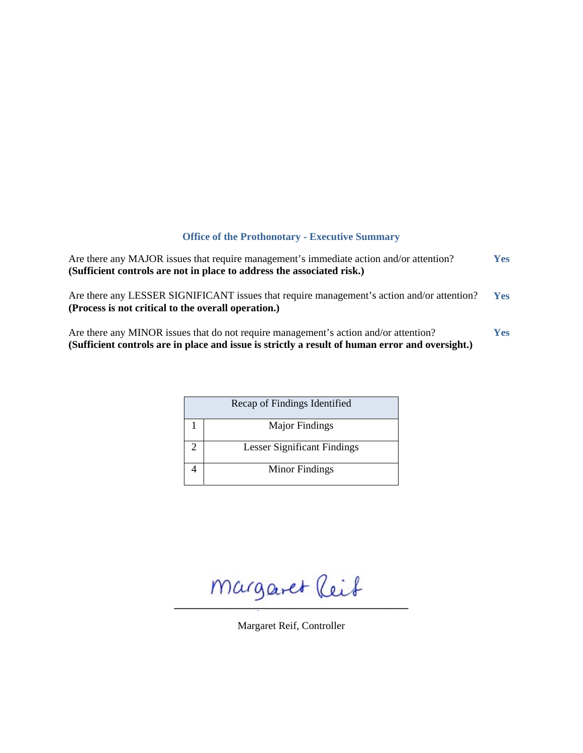# **Office of the Prothonotary - Executive Summary**

| Are there any MAJOR issues that require management's immediate action and/or attention?<br>(Sufficient controls are not in place to address the associated risk.)                       | <b>Yes</b> |
|-----------------------------------------------------------------------------------------------------------------------------------------------------------------------------------------|------------|
| Are there any LESSER SIGNIFICANT issues that require management's action and/or attention?<br>(Process is not critical to the overall operation.)                                       | <b>Yes</b> |
| Are there any MINOR issues that do not require management's action and/or attention?<br>(Sufficient controls are in place and issue is strictly a result of human error and oversight.) | <b>Yes</b> |

| Recap of Findings Identified       |
|------------------------------------|
| <b>Major Findings</b>              |
| <b>Lesser Significant Findings</b> |
| Minor Findings                     |

 $m$ argaret (leit

Margaret Reif, Controller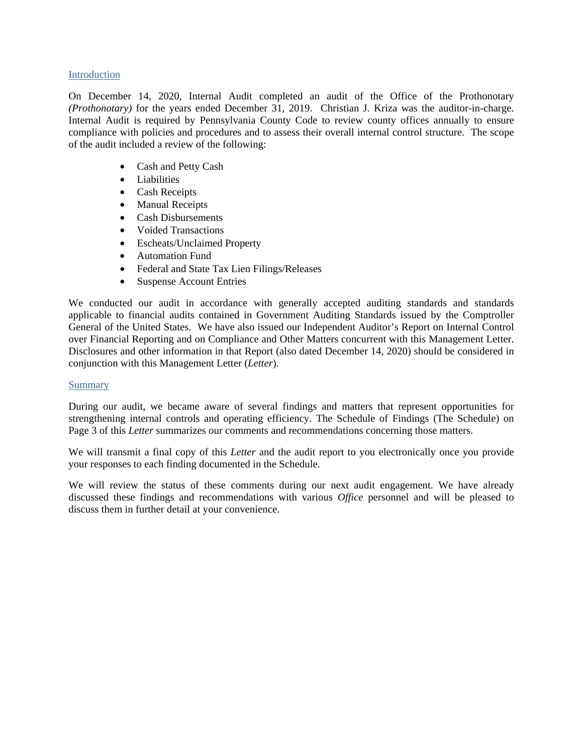# Introduction

On December 14, 2020, Internal Audit completed an audit of the Office of the Prothonotary *(Prothonotary)* for the years ended December 31, 2019. Christian J. Kriza was the auditor-in-charge. Internal Audit is required by Pennsylvania County Code to review county offices annually to ensure compliance with policies and procedures and to assess their overall internal control structure. The scope of the audit included a review of the following:

- Cash and Petty Cash
- Liabilities
- Cash Receipts
- Manual Receipts
- Cash Disbursements
- Voided Transactions
- Escheats/Unclaimed Property
- Automation Fund
- Federal and State Tax Lien Filings/Releases
- Suspense Account Entries

We conducted our audit in accordance with generally accepted auditing standards and standards applicable to financial audits contained in Government Auditing Standards issued by the Comptroller General of the United States. We have also issued our Independent Auditor's Report on Internal Control over Financial Reporting and on Compliance and Other Matters concurrent with this Management Letter. Disclosures and other information in that Report (also dated December 14, 2020) should be considered in conjunction with this Management Letter (*Letter*).

# Summary

During our audit, we became aware of several findings and matters that represent opportunities for strengthening internal controls and operating efficiency. The Schedule of Findings (The Schedule) on Page 3 of this *Letter* summarizes our comments and recommendations concerning those matters.

We will transmit a final copy of this *Letter* and the audit report to you electronically once you provide your responses to each finding documented in the Schedule.

We will review the status of these comments during our next audit engagement. We have already discussed these findings and recommendations with various *Office* personnel and will be pleased to discuss them in further detail at your convenience.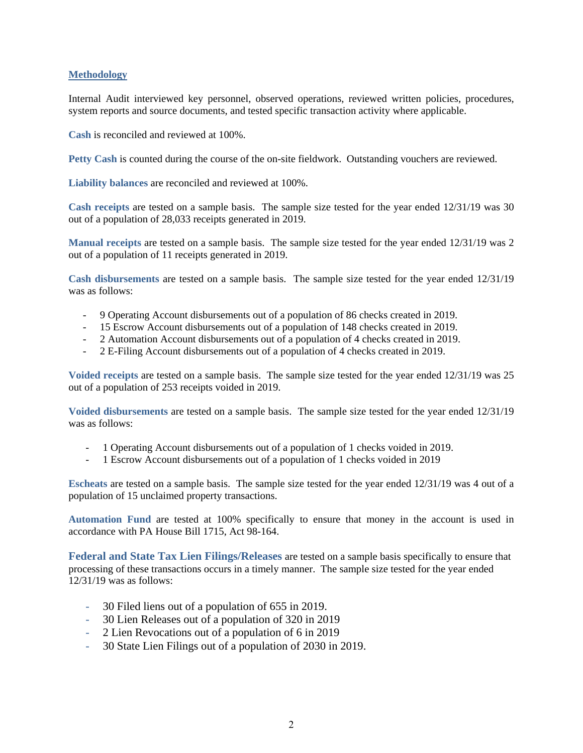# **Methodology**

Internal Audit interviewed key personnel, observed operations, reviewed written policies, procedures, system reports and source documents, and tested specific transaction activity where applicable.

**Cash** is reconciled and reviewed at 100%.

**Petty Cash** is counted during the course of the on-site fieldwork. Outstanding vouchers are reviewed.

**Liability balances** are reconciled and reviewed at 100%.

**Cash receipts** are tested on a sample basis. The sample size tested for the year ended 12/31/19 was 30 out of a population of 28,033 receipts generated in 2019.

**Manual receipts** are tested on a sample basis. The sample size tested for the year ended 12/31/19 was 2 out of a population of 11 receipts generated in 2019.

**Cash disbursements** are tested on a sample basis. The sample size tested for the year ended 12/31/19 was as follows:

- 9 Operating Account disbursements out of a population of 86 checks created in 2019.
- 15 Escrow Account disbursements out of a population of 148 checks created in 2019.
- 2 Automation Account disbursements out of a population of 4 checks created in 2019.
- 2 E-Filing Account disbursements out of a population of 4 checks created in 2019.

**Voided receipts** are tested on a sample basis. The sample size tested for the year ended 12/31/19 was 25 out of a population of 253 receipts voided in 2019.

**Voided disbursements** are tested on a sample basis. The sample size tested for the year ended 12/31/19 was as follows:

- 1 Operating Account disbursements out of a population of 1 checks voided in 2019.
- 1 Escrow Account disbursements out of a population of 1 checks voided in 2019

**Escheats** are tested on a sample basis. The sample size tested for the year ended 12/31/19 was 4 out of a population of 15 unclaimed property transactions.

**Automation Fund** are tested at 100% specifically to ensure that money in the account is used in accordance with PA House Bill 1715, Act 98-164.

**Federal and State Tax Lien Filings/Releases** are tested on a sample basis specifically to ensure that processing of these transactions occurs in a timely manner. The sample size tested for the year ended 12/31/19 was as follows:

- 30 Filed liens out of a population of 655 in 2019.
- 30 Lien Releases out of a population of 320 in 2019
- 2 Lien Revocations out of a population of 6 in 2019
- 30 State Lien Filings out of a population of 2030 in 2019.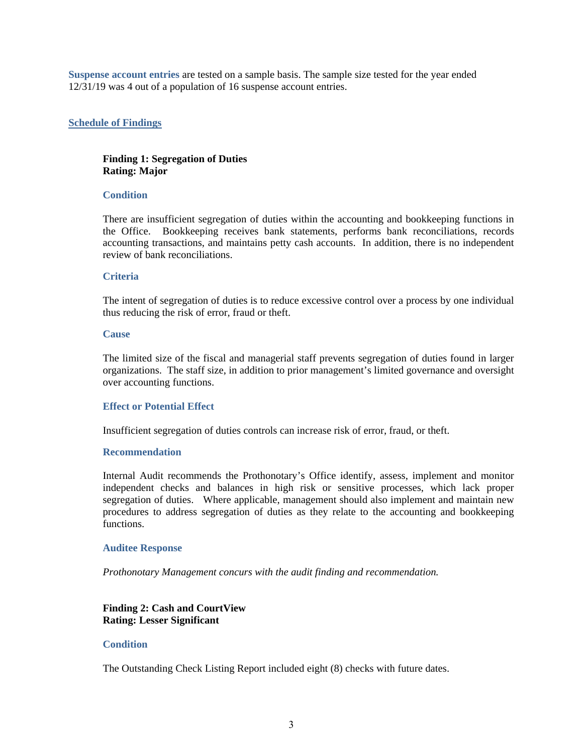**Suspense account entries** are tested on a sample basis. The sample size tested for the year ended 12/31/19 was 4 out of a population of 16 suspense account entries.

# **Schedule of Findings**

# **Finding 1: Segregation of Duties Rating: Major**

# **Condition**

There are insufficient segregation of duties within the accounting and bookkeeping functions in the Office. Bookkeeping receives bank statements, performs bank reconciliations, records accounting transactions, and maintains petty cash accounts. In addition, there is no independent review of bank reconciliations.

# **Criteria**

The intent of segregation of duties is to reduce excessive control over a process by one individual thus reducing the risk of error, fraud or theft.

# **Cause**

The limited size of the fiscal and managerial staff prevents segregation of duties found in larger organizations. The staff size, in addition to prior management's limited governance and oversight over accounting functions.

# **Effect or Potential Effect**

Insufficient segregation of duties controls can increase risk of error, fraud, or theft.

# **Recommendation**

Internal Audit recommends the Prothonotary's Office identify, assess, implement and monitor independent checks and balances in high risk or sensitive processes, which lack proper segregation of duties. Where applicable, management should also implement and maintain new procedures to address segregation of duties as they relate to the accounting and bookkeeping functions.

# **Auditee Response**

*Prothonotary Management concurs with the audit finding and recommendation.* 

# **Finding 2: Cash and CourtView Rating: Lesser Significant**

#### **Condition**

The Outstanding Check Listing Report included eight (8) checks with future dates.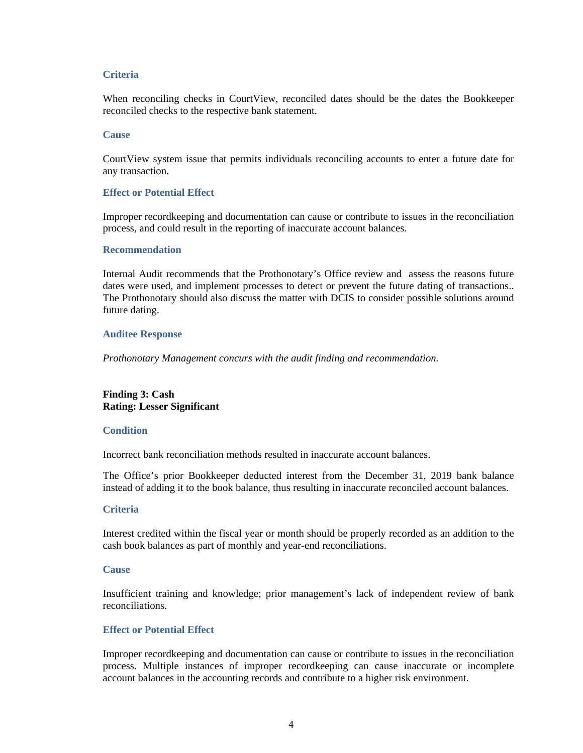# **Criteria**

When reconciling checks in CourtView, reconciled dates should be the dates the Bookkeeper reconciled checks to the respective bank statement.

#### **Cause**

CourtView system issue that permits individuals reconciling accounts to enter a future date for any transaction.

#### **Effect or Potential Effect**

Improper recordkeeping and documentation can cause or contribute to issues in the reconciliation process, and could result in the reporting of inaccurate account balances.

#### **Recommendation**

Internal Audit recommends that the Prothonotary's Office review and assess the reasons future dates were used, and implement processes to detect or prevent the future dating of transactions.. The Prothonotary should also discuss the matter with DCIS to consider possible solutions around future dating.

# **Auditee Response**

*Prothonotary Management concurs with the audit finding and recommendation.*

# **Finding 3: Cash Rating: Lesser Significant**

# **Condition**

Incorrect bank reconciliation methods resulted in inaccurate account balances.

The Office's prior Bookkeeper deducted interest from the December 31, 2019 bank balance instead of adding it to the book balance, thus resulting in inaccurate reconciled account balances.

# **Criteria**

Interest credited within the fiscal year or month should be properly recorded as an addition to the cash book balances as part of monthly and year-end reconciliations.

#### **Cause**

Insufficient training and knowledge; prior management's lack of independent review of bank reconciliations.

# **Effect or Potential Effect**

Improper recordkeeping and documentation can cause or contribute to issues in the reconciliation process. Multiple instances of improper recordkeeping can cause inaccurate or incomplete account balances in the accounting records and contribute to a higher risk environment.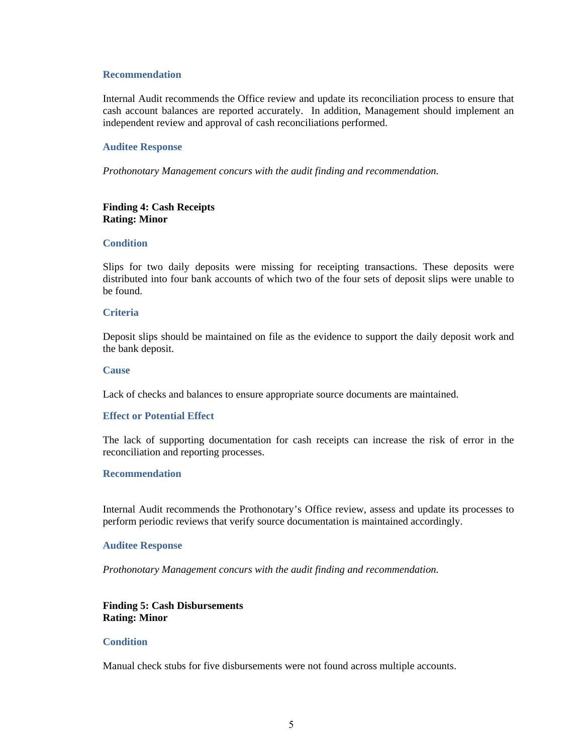#### **Recommendation**

Internal Audit recommends the Office review and update its reconciliation process to ensure that cash account balances are reported accurately. In addition, Management should implement an independent review and approval of cash reconciliations performed.

# **Auditee Response**

*Prothonotary Management concurs with the audit finding and recommendation.*

# **Finding 4: Cash Receipts Rating: Minor**

# **Condition**

Slips for two daily deposits were missing for receipting transactions. These deposits were distributed into four bank accounts of which two of the four sets of deposit slips were unable to be found.

#### **Criteria**

Deposit slips should be maintained on file as the evidence to support the daily deposit work and the bank deposit.

#### **Cause**

Lack of checks and balances to ensure appropriate source documents are maintained.

# **Effect or Potential Effect**

The lack of supporting documentation for cash receipts can increase the risk of error in the reconciliation and reporting processes.

#### **Recommendation**

Internal Audit recommends the Prothonotary's Office review, assess and update its processes to perform periodic reviews that verify source documentation is maintained accordingly.

# **Auditee Response**

*Prothonotary Management concurs with the audit finding and recommendation.*

# **Finding 5: Cash Disbursements Rating: Minor**

#### **Condition**

Manual check stubs for five disbursements were not found across multiple accounts.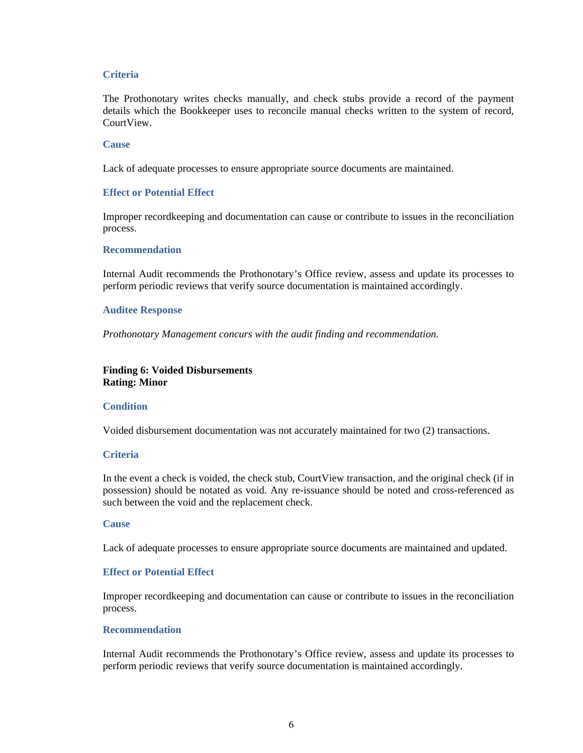# **Criteria**

The Prothonotary writes checks manually, and check stubs provide a record of the payment details which the Bookkeeper uses to reconcile manual checks written to the system of record, CourtView.

# **Cause**

Lack of adequate processes to ensure appropriate source documents are maintained.

# **Effect or Potential Effect**

Improper recordkeeping and documentation can cause or contribute to issues in the reconciliation process.

#### **Recommendation**

Internal Audit recommends the Prothonotary's Office review, assess and update its processes to perform periodic reviews that verify source documentation is maintained accordingly.

#### **Auditee Response**

*Prothonotary Management concurs with the audit finding and recommendation.*

# **Finding 6: Voided Disbursements Rating: Minor**

# **Condition**

Voided disbursement documentation was not accurately maintained for two (2) transactions.

# **Criteria**

In the event a check is voided, the check stub, CourtView transaction, and the original check (if in possession) should be notated as void. Any re-issuance should be noted and cross-referenced as such between the void and the replacement check.

#### **Cause**

Lack of adequate processes to ensure appropriate source documents are maintained and updated.

# **Effect or Potential Effect**

Improper recordkeeping and documentation can cause or contribute to issues in the reconciliation process.

#### **Recommendation**

Internal Audit recommends the Prothonotary's Office review, assess and update its processes to perform periodic reviews that verify source documentation is maintained accordingly.